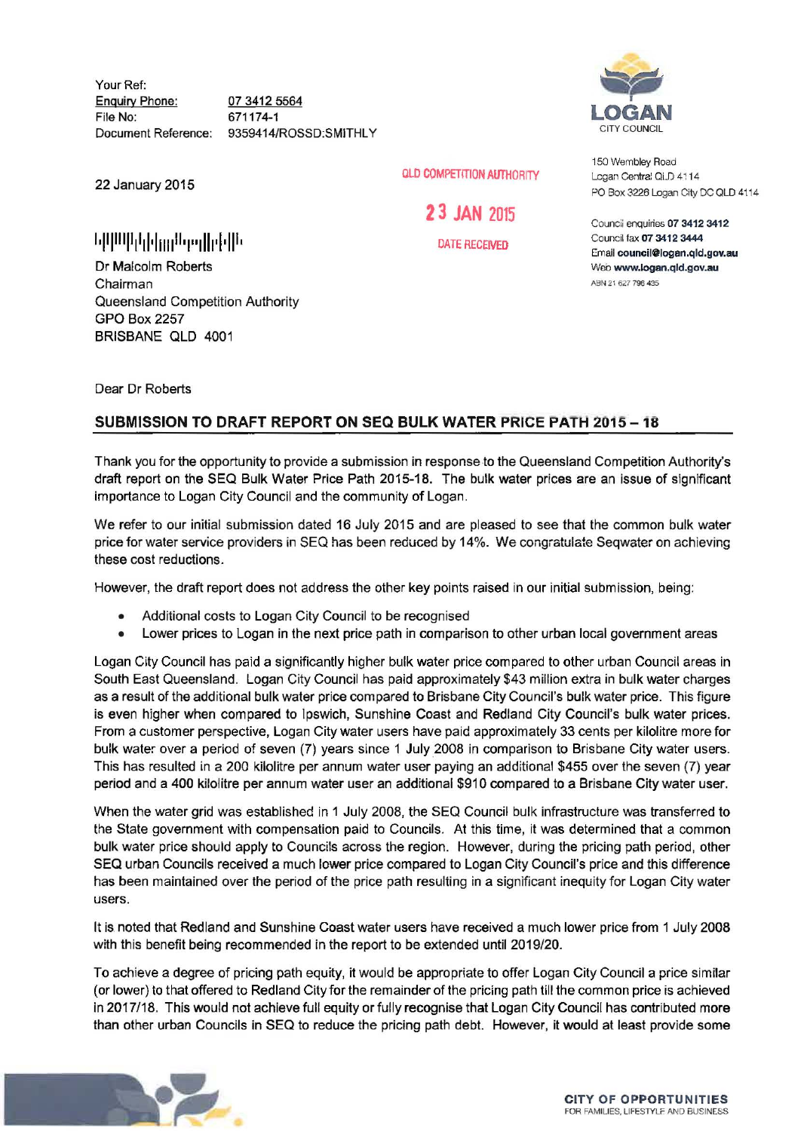Your Ref: Enquiry Phone: File No: Document Reference: 07 3412 5564 671174-1 9359414/ROSSD:SMITHLY

22 January 2015

1.1111 <sup>11111</sup> 111·1uu11 •t .. llh ·I· 111•

Dr Malcolm Roberts Chairman Queensland Competition Authority GPO Box 2257 BRISBANE QLD 4001

**LOGAN**  CITY COUNCIL

150 Wembley Road Logan Central QI D 4114 PO Box 3226 Logan City DC QLD 4114

Councii enquiries 07 3412 3412 Council fax 07 3412 3444 Email council@logan .qld.gov.au Web www.logan.qld.gov.au ABN 2: 627 796 435

Dear Dr Roberts

## SUBMISSION TO DRAFT REPORT ON SEQ BULK WATER PRICE PATH 2015-18

Thank you for the opportunity to provide a submission in response to the Queensland Competition Authority's draft report on the SEQ Bulk Water Price Path 2015-18. The bulk water prices are an issue of significant importance to Logan City Council and the community of Logan.

OLD COMPETITION AUTHORITY

2 3 JAN 2015

DATE RECEIVED

We refer to our initial submission dated 16 July 2015 and are pleased to see that the common bulk water price for water service providers in SEQ has been reduced by 14%. We congratulate Seqwater on achieving these cost reductions.

However, the draft report does not address the other key points raised in our initial submission, being:

- Additional costs to Logan City Council to be recognised
- Lower prices to Logan in the next price path in comparison to other urban local government areas

Logan City Council has paid a significantly higher bulk water price compared to other urban Council areas in South East Queensland. Logan City Council has paid approximately \$43 million extra in bulk water charges as a result of the additional bulk water price compared to Brisbane City Council's bulk water price. This figure is even higher when compared to Ipswich, Sunshine Coast and Redland City Council's bulk water prices. From a customer perspective, Logan City water users have paid approximately 33 cents per kilolitre more for bulk water over a period of seven (7) years since 1 July 2008 in comparison to Brisbane City water users. This has resulted in a 200 kilolitre per annum water user paying an additional \$455 over the seven (7) year period and a 400 kilolitre per annum water user an additional \$910 compared to a Brisbane City water user.

When the water grid was established in 1 July 2008, the SEQ Council bulk infrastructure was transferred to the State government with compensation paid to Councils. At this time, it was determined that a common bulk water price should apply to Councils across the region. However, during the pricing path period, other SEQ urban Councils received a much lower price compared to Logan City Council's price and this difference has been maintained over the period of the price path resulting in a significant inequity for Logan City water users.

It is noted that Redland and Sunshine Coast water users have received a much lower price from 1 July 2008 with this benefit being recommended in the report to be extended until 2019/20.

To achieve a degree of pricing path equity, it would be appropriate to offer Logan City Council a price similar (or lower) to that offered to Redland City for the remainder of the pricing path till the common price is achieved in 2017/18. This would not achieve full equity or fully recognise that Logan City Council has contributed more than other urban Councils in SEQ to reduce the pricing path debt. However, it would at least provide some